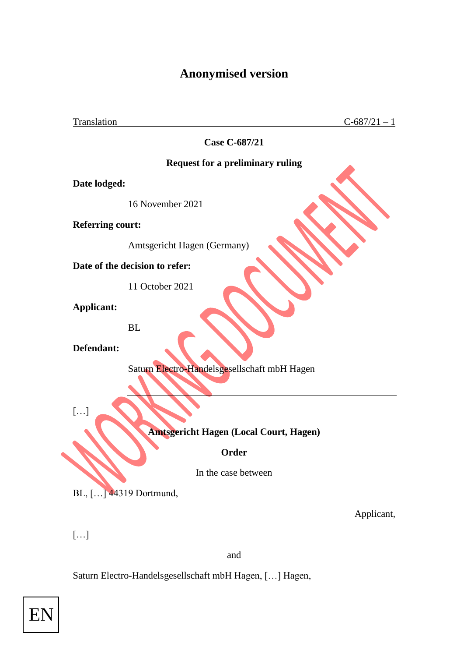## **Anonymised version**

Translation  $C-687/21-1$ 

**Case C-687/21**

## **Request for a preliminary ruling**

**Date lodged:**

16 November 2021

**Referring court:**

Amtsgericht Hagen (Germany)

**Date of the decision to refer:**

11 October 2021

**Applicant:**

BL

**Defendant:**

Saturn Electro-Handelsgesellschaft mbH Hagen

[…]

**Amtsgericht Hagen (Local Court, Hagen)**

**Order**

In the case between

BL, […] 44319 Dortmund,

Applicant,

[…]

and

Saturn Electro-Handelsgesellschaft mbH Hagen, […] Hagen,

EN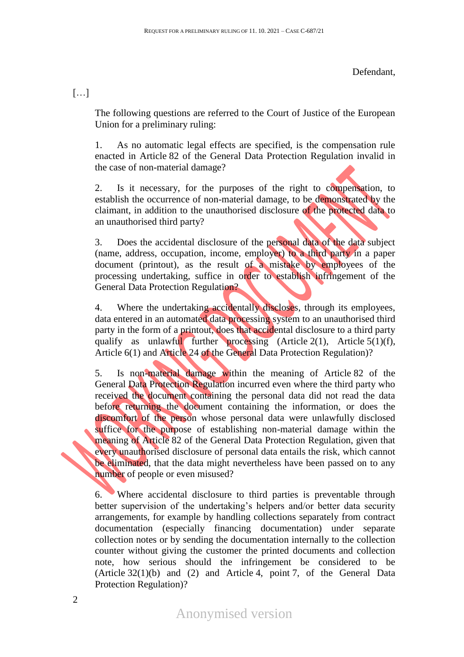[…]

The following questions are referred to the Court of Justice of the European Union for a preliminary ruling:

1. As no automatic legal effects are specified, is the compensation rule enacted in Article 82 of the General Data Protection Regulation invalid in the case of non-material damage?

2. Is it necessary, for the purposes of the right to compensation, to establish the occurrence of non-material damage, to be demonstrated by the claimant, in addition to the unauthorised disclosure of the protected data to an unauthorised third party?

3. Does the accidental disclosure of the personal data of the data subject (name, address, occupation, income, employer) to a third party in a paper document (printout), as the result of a mistake by employees of the processing undertaking, suffice in order to establish infringement of the General Data Protection Regulation?

4. Where the undertaking accidentally discloses, through its employees, data entered in an automated data processing system to an unauthorised third party in the form of a printout, does that accidental disclosure to a third party qualify as unlawful further processing (Article 2(1), Article 5(1)(f), Article 6(1) and Article 24 of the General Data Protection Regulation)?

5. Is non-material damage within the meaning of Article 82 of the General Data Protection Regulation incurred even where the third party who received the document containing the personal data did not read the data before returning the document containing the information, or does the discomfort of the person whose personal data were unlawfully disclosed suffice for the purpose of establishing non-material damage within the meaning of Article 82 of the General Data Protection Regulation, given that every unauthorised disclosure of personal data entails the risk, which cannot be eliminated, that the data might nevertheless have been passed on to any number of people or even misused?

6. Where accidental disclosure to third parties is preventable through better supervision of the undertaking's helpers and/or better data security arrangements, for example by handling collections separately from contract documentation (especially financing documentation) under separate collection notes or by sending the documentation internally to the collection counter without giving the customer the printed documents and collection note, how serious should the infringement be considered to be (Article 32(1)(b) and (2) and Article 4, point 7, of the General Data Protection Regulation)?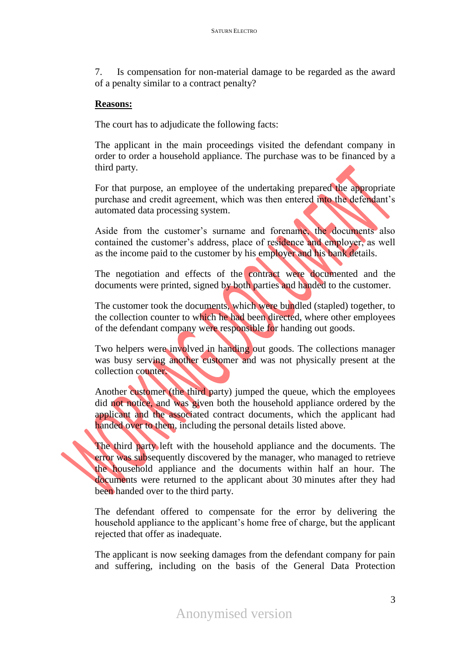7. Is compensation for non-material damage to be regarded as the award of a penalty similar to a contract penalty?

## **Reasons:**

The court has to adjudicate the following facts:

The applicant in the main proceedings visited the defendant company in order to order a household appliance. The purchase was to be financed by a third party.

For that purpose, an employee of the undertaking prepared the appropriate purchase and credit agreement, which was then entered into the defendant's automated data processing system.

Aside from the customer's surname and forename, the documents also contained the customer's address, place of residence and employer, as well as the income paid to the customer by his employer and his bank details.

The negotiation and effects of the contract were documented and the documents were printed, signed by both parties and handed to the customer.

The customer took the documents, which were bundled (stapled) together, to the collection counter to which he had been directed, where other employees of the defendant company were responsible for handing out goods.

Two helpers were involved in handing out goods. The collections manager was busy serving another customer and was not physically present at the collection counter.

Another customer (the third party) jumped the queue, which the employees did not notice, and was given both the household appliance ordered by the applicant and the associated contract documents, which the applicant had handed over to them, including the personal details listed above.

The third party left with the household appliance and the documents. The error was subsequently discovered by the manager, who managed to retrieve the household appliance and the documents within half an hour. The documents were returned to the applicant about 30 minutes after they had been handed over to the third party.

The defendant offered to compensate for the error by delivering the household appliance to the applicant's home free of charge, but the applicant rejected that offer as inadequate.

The applicant is now seeking damages from the defendant company for pain and suffering, including on the basis of the General Data Protection